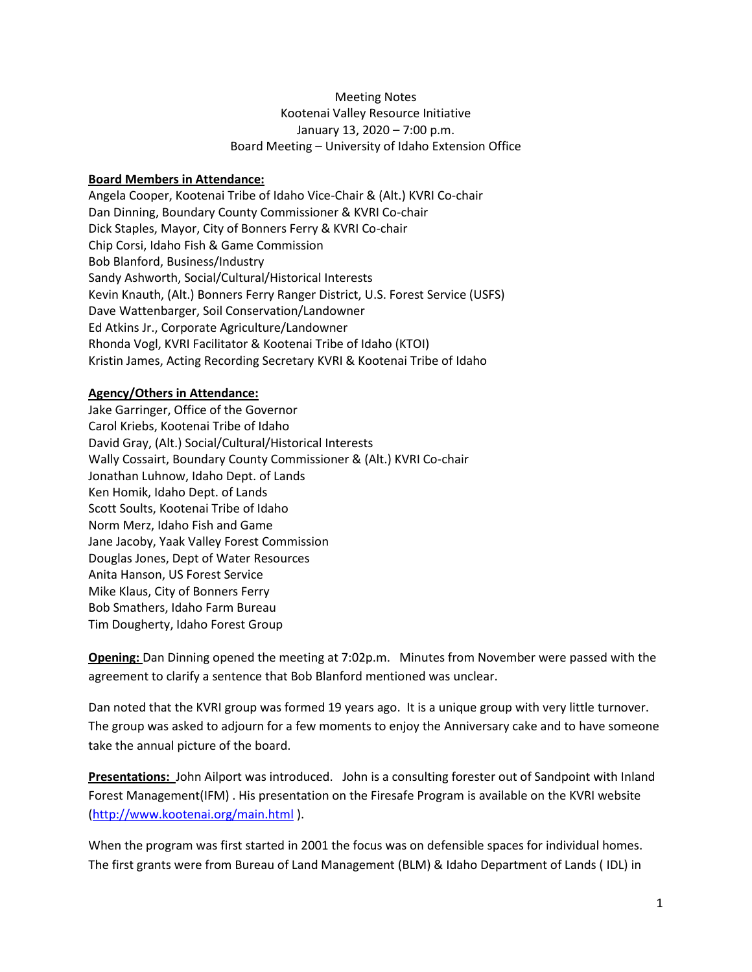## Meeting Notes Kootenai Valley Resource Initiative January 13, 2020 – 7:00 p.m. Board Meeting – University of Idaho Extension Office

### **Board Members in Attendance:**

Angela Cooper, Kootenai Tribe of Idaho Vice-Chair & (Alt.) KVRI Co-chair Dan Dinning, Boundary County Commissioner & KVRI Co-chair Dick Staples, Mayor, City of Bonners Ferry & KVRI Co-chair Chip Corsi, Idaho Fish & Game Commission Bob Blanford, Business/Industry Sandy Ashworth, Social/Cultural/Historical Interests Kevin Knauth, (Alt.) Bonners Ferry Ranger District, U.S. Forest Service (USFS) Dave Wattenbarger, Soil Conservation/Landowner Ed Atkins Jr., Corporate Agriculture/Landowner Rhonda Vogl, KVRI Facilitator & Kootenai Tribe of Idaho (KTOI) Kristin James, Acting Recording Secretary KVRI & Kootenai Tribe of Idaho

#### **Agency/Others in Attendance:**

Jake Garringer, Office of the Governor Carol Kriebs, Kootenai Tribe of Idaho David Gray, (Alt.) Social/Cultural/Historical Interests Wally Cossairt, Boundary County Commissioner & (Alt.) KVRI Co-chair Jonathan Luhnow, Idaho Dept. of Lands Ken Homik, Idaho Dept. of Lands Scott Soults, Kootenai Tribe of Idaho Norm Merz, Idaho Fish and Game Jane Jacoby, Yaak Valley Forest Commission Douglas Jones, Dept of Water Resources Anita Hanson, US Forest Service Mike Klaus, City of Bonners Ferry Bob Smathers, Idaho Farm Bureau Tim Dougherty, Idaho Forest Group

**Opening:** Dan Dinning opened the meeting at 7:02p.m. Minutes from November were passed with the agreement to clarify a sentence that Bob Blanford mentioned was unclear.

Dan noted that the KVRI group was formed 19 years ago. It is a unique group with very little turnover. The group was asked to adjourn for a few moments to enjoy the Anniversary cake and to have someone take the annual picture of the board.

**Presentations:** John Ailport was introduced. John is a consulting forester out of Sandpoint with Inland Forest Management(IFM) . His presentation on the Firesafe Program is available on the KVRI website [\(http://www.kootenai.org/main.html](http://www.kootenai.org/main.html) ).

When the program was first started in 2001 the focus was on defensible spaces for individual homes. The first grants were from Bureau of Land Management (BLM) & Idaho Department of Lands ( IDL) in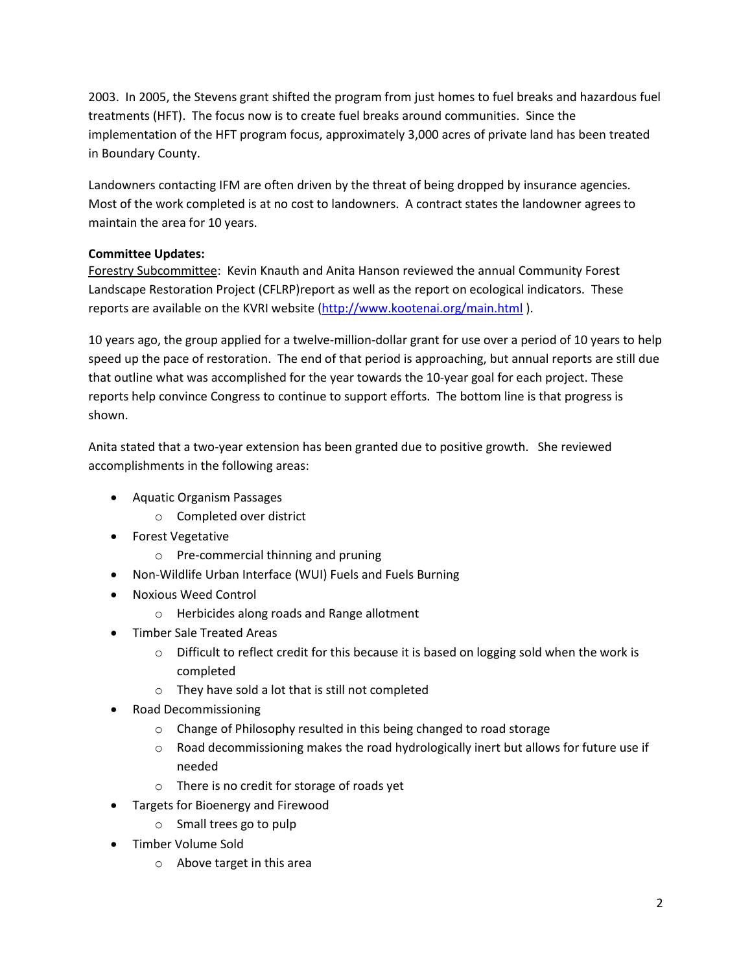2003. In 2005, the Stevens grant shifted the program from just homes to fuel breaks and hazardous fuel treatments (HFT). The focus now is to create fuel breaks around communities. Since the implementation of the HFT program focus, approximately 3,000 acres of private land has been treated in Boundary County.

Landowners contacting IFM are often driven by the threat of being dropped by insurance agencies. Most of the work completed is at no cost to landowners. A contract states the landowner agrees to maintain the area for 10 years.

# **Committee Updates:**

Forestry Subcommittee: Kevin Knauth and Anita Hanson reviewed the annual Community Forest Landscape Restoration Project (CFLRP)report as well as the report on ecological indicators. These reports are available on the KVRI website [\(http://www.kootenai.org/main.html](http://www.kootenai.org/main.html)).

10 years ago, the group applied for a twelve-million-dollar grant for use over a period of 10 years to help speed up the pace of restoration. The end of that period is approaching, but annual reports are still due that outline what was accomplished for the year towards the 10-year goal for each project. These reports help convince Congress to continue to support efforts. The bottom line is that progress is shown.

Anita stated that a two-year extension has been granted due to positive growth. She reviewed accomplishments in the following areas:

- Aquatic Organism Passages
	- o Completed over district
- Forest Vegetative
	- o Pre-commercial thinning and pruning
- Non-Wildlife Urban Interface (WUI) Fuels and Fuels Burning
- Noxious Weed Control
	- o Herbicides along roads and Range allotment
- Timber Sale Treated Areas
	- $\circ$  Difficult to reflect credit for this because it is based on logging sold when the work is completed
	- o They have sold a lot that is still not completed
- Road Decommissioning
	- o Change of Philosophy resulted in this being changed to road storage
	- $\circ$  Road decommissioning makes the road hydrologically inert but allows for future use if needed
	- o There is no credit for storage of roads yet
- Targets for Bioenergy and Firewood
	- o Small trees go to pulp
- Timber Volume Sold
	- o Above target in this area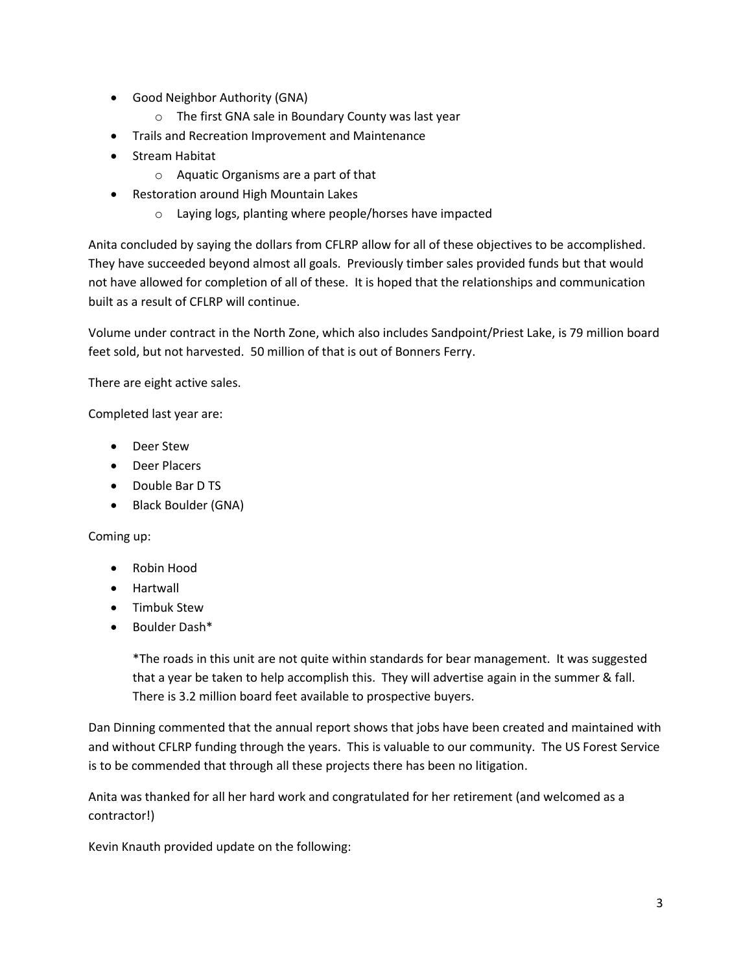- Good Neighbor Authority (GNA)
	- o The first GNA sale in Boundary County was last year
- Trails and Recreation Improvement and Maintenance
- Stream Habitat
	- o Aquatic Organisms are a part of that
- Restoration around High Mountain Lakes
	- o Laying logs, planting where people/horses have impacted

Anita concluded by saying the dollars from CFLRP allow for all of these objectives to be accomplished. They have succeeded beyond almost all goals. Previously timber sales provided funds but that would not have allowed for completion of all of these. It is hoped that the relationships and communication built as a result of CFLRP will continue.

Volume under contract in the North Zone, which also includes Sandpoint/Priest Lake, is 79 million board feet sold, but not harvested. 50 million of that is out of Bonners Ferry.

There are eight active sales.

Completed last year are:

- Deer Stew
- Deer Placers
- Double Bar D TS
- Black Boulder (GNA)

Coming up:

- Robin Hood
- Hartwall
- Timbuk Stew
- Boulder Dash\*

\*The roads in this unit are not quite within standards for bear management. It was suggested that a year be taken to help accomplish this. They will advertise again in the summer & fall. There is 3.2 million board feet available to prospective buyers.

Dan Dinning commented that the annual report shows that jobs have been created and maintained with and without CFLRP funding through the years. This is valuable to our community. The US Forest Service is to be commended that through all these projects there has been no litigation.

Anita was thanked for all her hard work and congratulated for her retirement (and welcomed as a contractor!)

Kevin Knauth provided update on the following: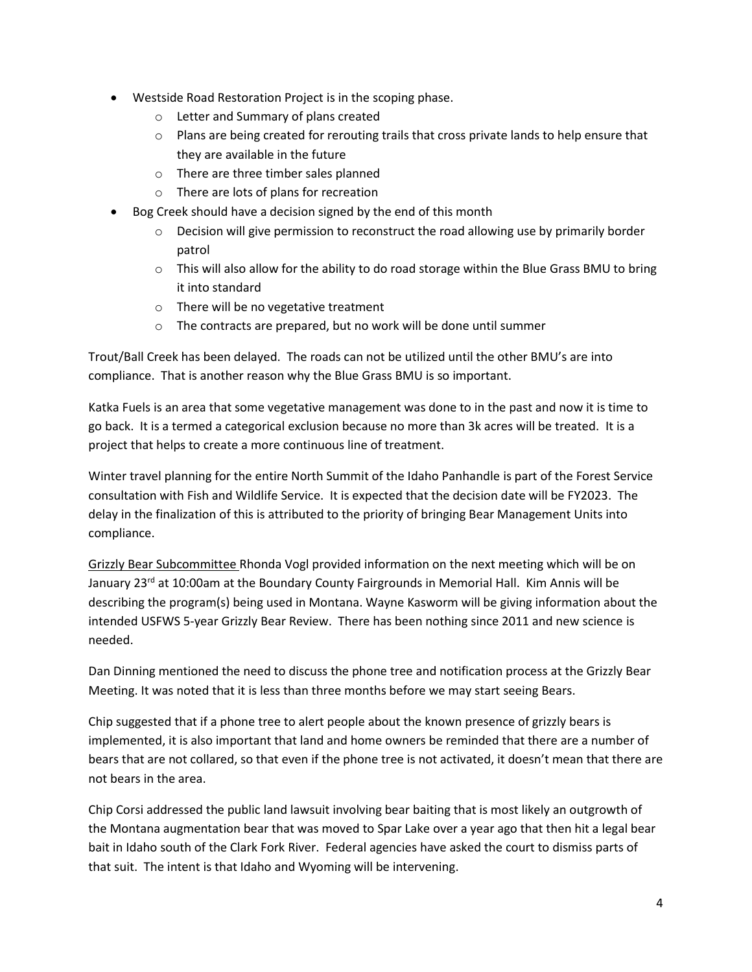- Westside Road Restoration Project is in the scoping phase.
	- o Letter and Summary of plans created
	- $\circ$  Plans are being created for rerouting trails that cross private lands to help ensure that they are available in the future
	- o There are three timber sales planned
	- o There are lots of plans for recreation
- Bog Creek should have a decision signed by the end of this month
	- $\circ$  Decision will give permission to reconstruct the road allowing use by primarily border patrol
	- $\circ$  This will also allow for the ability to do road storage within the Blue Grass BMU to bring it into standard
	- o There will be no vegetative treatment
	- o The contracts are prepared, but no work will be done until summer

Trout/Ball Creek has been delayed. The roads can not be utilized until the other BMU's are into compliance. That is another reason why the Blue Grass BMU is so important.

Katka Fuels is an area that some vegetative management was done to in the past and now it is time to go back. It is a termed a categorical exclusion because no more than 3k acres will be treated. It is a project that helps to create a more continuous line of treatment.

Winter travel planning for the entire North Summit of the Idaho Panhandle is part of the Forest Service consultation with Fish and Wildlife Service. It is expected that the decision date will be FY2023. The delay in the finalization of this is attributed to the priority of bringing Bear Management Units into compliance.

Grizzly Bear Subcommittee Rhonda Vogl provided information on the next meeting which will be on January 23<sup>rd</sup> at 10:00am at the Boundary County Fairgrounds in Memorial Hall. Kim Annis will be describing the program(s) being used in Montana. Wayne Kasworm will be giving information about the intended USFWS 5-year Grizzly Bear Review. There has been nothing since 2011 and new science is needed.

Dan Dinning mentioned the need to discuss the phone tree and notification process at the Grizzly Bear Meeting. It was noted that it is less than three months before we may start seeing Bears.

Chip suggested that if a phone tree to alert people about the known presence of grizzly bears is implemented, it is also important that land and home owners be reminded that there are a number of bears that are not collared, so that even if the phone tree is not activated, it doesn't mean that there are not bears in the area.

Chip Corsi addressed the public land lawsuit involving bear baiting that is most likely an outgrowth of the Montana augmentation bear that was moved to Spar Lake over a year ago that then hit a legal bear bait in Idaho south of the Clark Fork River. Federal agencies have asked the court to dismiss parts of that suit. The intent is that Idaho and Wyoming will be intervening.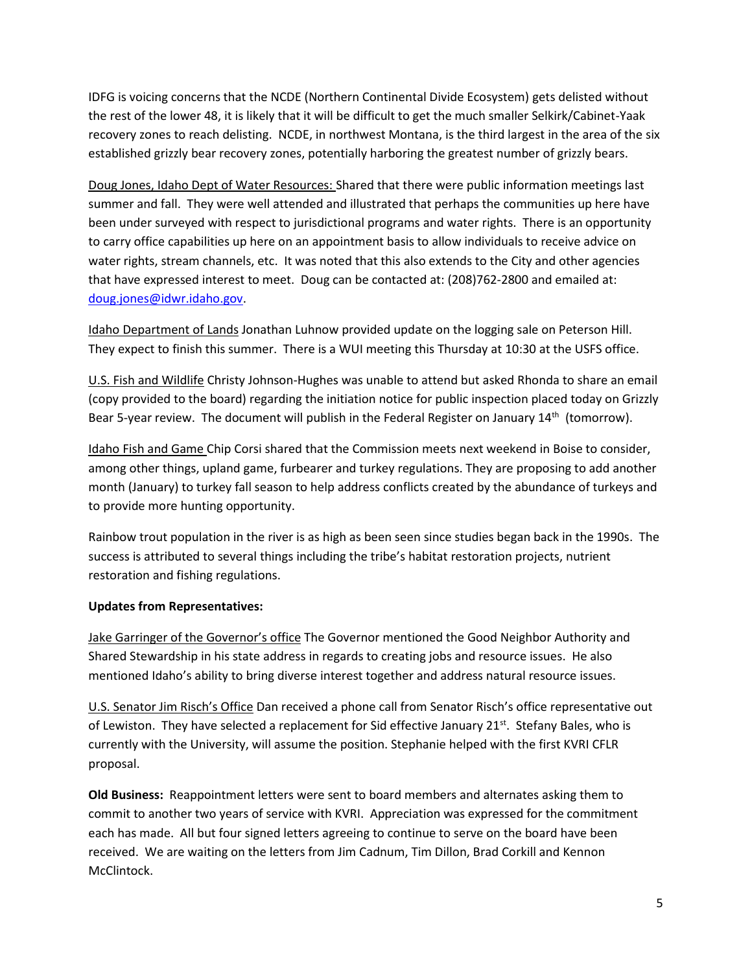IDFG is voicing concerns that the NCDE (Northern Continental Divide Ecosystem) gets delisted without the rest of the lower 48, it is likely that it will be difficult to get the much smaller Selkirk/Cabinet-Yaak recovery zones to reach delisting. NCDE, in northwest Montana, is the third largest in the area of the six established grizzly bear recovery zones, potentially harboring the greatest number of grizzly bears.

Doug Jones, Idaho Dept of Water Resources: Shared that there were public information meetings last summer and fall. They were well attended and illustrated that perhaps the communities up here have been under surveyed with respect to jurisdictional programs and water rights. There is an opportunity to carry office capabilities up here on an appointment basis to allow individuals to receive advice on water rights, stream channels, etc. It was noted that this also extends to the City and other agencies that have expressed interest to meet. Doug can be contacted at: (208)762-2800 and emailed at: [doug.jones@idwr.idaho.gov.](mailto:doug.jones@idwr.idaho.gov)

Idaho Department of Lands Jonathan Luhnow provided update on the logging sale on Peterson Hill. They expect to finish this summer. There is a WUI meeting this Thursday at 10:30 at the USFS office.

U.S. Fish and Wildlife Christy Johnson-Hughes was unable to attend but asked Rhonda to share an email (copy provided to the board) regarding the initiation notice for public inspection placed today on Grizzly Bear 5-year review. The document will publish in the Federal Register on January 14<sup>th</sup> (tomorrow).

Idaho Fish and Game Chip Corsi shared that the Commission meets next weekend in Boise to consider, among other things, upland game, furbearer and turkey regulations. They are proposing to add another month (January) to turkey fall season to help address conflicts created by the abundance of turkeys and to provide more hunting opportunity.

Rainbow trout population in the river is as high as been seen since studies began back in the 1990s. The success is attributed to several things including the tribe's habitat restoration projects, nutrient restoration and fishing regulations.

## **Updates from Representatives:**

Jake Garringer of the Governor's office The Governor mentioned the Good Neighbor Authority and Shared Stewardship in his state address in regards to creating jobs and resource issues. He also mentioned Idaho's ability to bring diverse interest together and address natural resource issues.

U.S. Senator Jim Risch's Office Dan received a phone call from Senator Risch's office representative out of Lewiston. They have selected a replacement for Sid effective January 21<sup>st</sup>. Stefany Bales, who is currently with the University, will assume the position. Stephanie helped with the first KVRI CFLR proposal.

**Old Business:** Reappointment letters were sent to board members and alternates asking them to commit to another two years of service with KVRI. Appreciation was expressed for the commitment each has made. All but four signed letters agreeing to continue to serve on the board have been received. We are waiting on the letters from Jim Cadnum, Tim Dillon, Brad Corkill and Kennon McClintock.